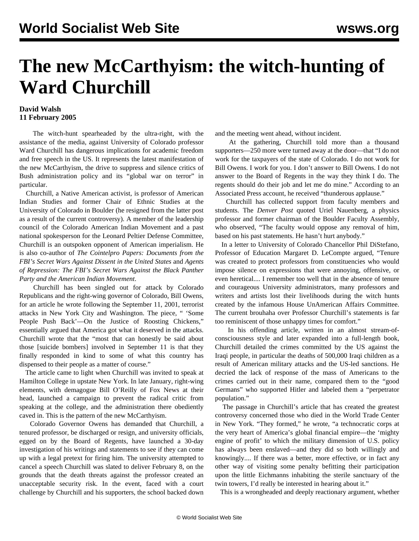## **The new McCarthyism: the witch-hunting of Ward Churchill**

## **David Walsh 11 February 2005**

 The witch-hunt spearheaded by the ultra-right, with the assistance of the media, against University of Colorado professor Ward Churchill has dangerous implications for academic freedom and free speech in the US. It represents the latest manifestation of the new McCarthyism, the drive to suppress and silence critics of Bush administration policy and its "global war on terror" in particular.

 Churchill, a Native American activist, is professor of American Indian Studies and former Chair of Ethnic Studies at the University of Colorado in Boulder (he resigned from the latter post as a result of the current controversy). A member of the leadership council of the Colorado American Indian Movement and a past national spokesperson for the Leonard Peltier Defense Committee, Churchill is an outspoken opponent of American imperialism. He is also co-author of *The Cointelpro Papers: Documents from the FBI's Secret Wars Against Dissent in the United States* and *Agents of Repression: The FBI's Secret Wars Against the Black Panther Party and the American Indian Movement*.

 Churchill has been singled out for attack by Colorado Republicans and the right-wing governor of Colorado, Bill Owens, for an article he wrote following the September 11, 2001, terrorist attacks in New York City and Washington. The piece, " 'Some People Push Back'—On the Justice of Roosting Chickens," essentially argued that America got what it deserved in the attacks. Churchill wrote that the "most that can honestly be said about those [suicide bombers] involved in September 11 is that they finally responded in kind to some of what this country has dispensed to their people as a matter of course."

 The article came to light when Churchill was invited to speak at Hamilton College in upstate New York. In late January, right-wing elements, with demagogue Bill O'Reilly of Fox News at their head, launched a campaign to prevent the radical critic from speaking at the college, and the administration there obediently caved in. This is the pattern of the new McCarthyism.

 Colorado Governor Owens has demanded that Churchill, a tenured professor, be discharged or resign, and university officials, egged on by the Board of Regents, have launched a 30-day investigation of his writings and statements to see if they can come up with a legal pretext for firing him. The university attempted to cancel a speech Churchill was slated to deliver February 8, on the grounds that the death threats against the professor created an unacceptable security risk. In the event, faced with a court challenge by Churchill and his supporters, the school backed down and the meeting went ahead, without incident.

 At the gathering, Churchill told more than a thousand supporters—250 more were turned away at the door—that "I do not work for the taxpayers of the state of Colorado. I do not work for Bill Owens. I work for you. I don't answer to Bill Owens. I do not answer to the Board of Regents in the way they think I do. The regents should do their job and let me do mine." According to an Associated Press account, he received "thunderous applause."

 Churchill has collected support from faculty members and students. The *Denver Post* quoted Uriel Nauenberg, a physics professor and former chairman of the Boulder Faculty Assembly, who observed, "The faculty would oppose any removal of him, based on his past statements. He hasn't hurt anybody."

 In a letter to University of Colorado Chancellor Phil DiStefano, Professor of Education Margaret D. LeCompte argued, "Tenure was created to protect professors from constituencies who would impose silence on expressions that were annoying, offensive, or even heretical.... I remember too well that in the absence of tenure and courageous University administrators, many professors and writers and artists lost their livelihoods during the witch hunts created by the infamous House UnAmerican Affairs Committee. The current brouhaha over Professor Churchill's statements is far too reminiscent of those unhappy times for comfort."

 In his offending article, written in an almost stream-ofconsciousness style and later expanded into a full-length book, Churchill detailed the crimes committed by the US against the Iraqi people, in particular the deaths of 500,000 Iraqi children as a result of American military attacks and the US-led sanctions. He decried the lack of response of the mass of Americans to the crimes carried out in their name, compared them to the "good Germans" who supported Hitler and labeled them a "perpetrator population."

 The passage in Churchill's article that has created the greatest controversy concerned those who died in the World Trade Center in New York. "They formed," he wrote, "a technocratic corps at the very heart of America's global financial empire—the 'mighty engine of profit' to which the military dimension of U.S. policy has always been enslaved—and they did so both willingly and knowingly.... If there was a better, more effective, or in fact any other way of visiting some penalty befitting their participation upon the little Eichmanns inhabiting the sterile sanctuary of the twin towers, I'd really be interested in hearing about it."

This is a wrongheaded and deeply reactionary argument, whether